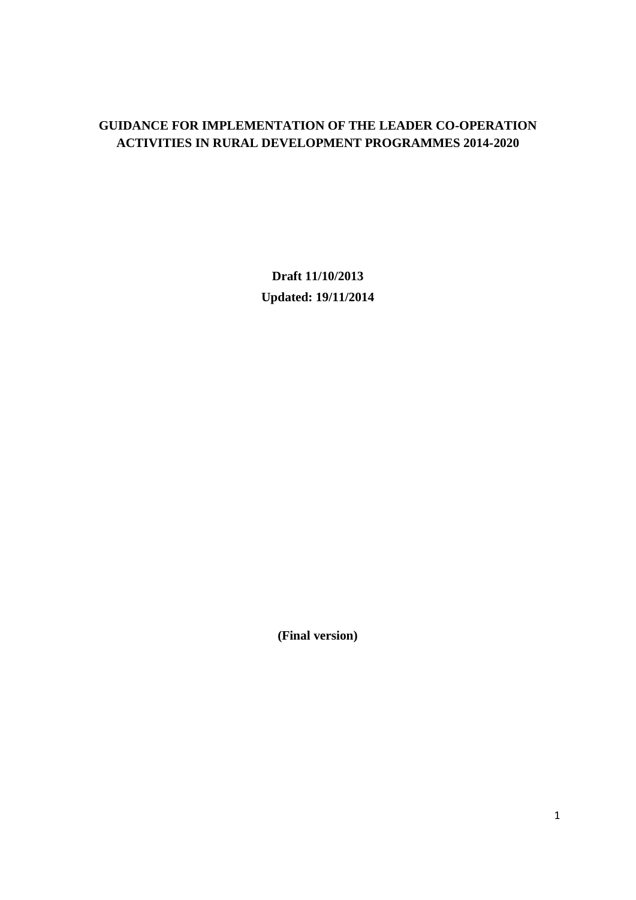### **GUIDANCE FOR IMPLEMENTATION OF THE LEADER CO-OPERATION ACTIVITIES IN RURAL DEVELOPMENT PROGRAMMES 2014-2020**

**Draft 11/10/2013 Updated: 19/11/2014**

**(Final version)**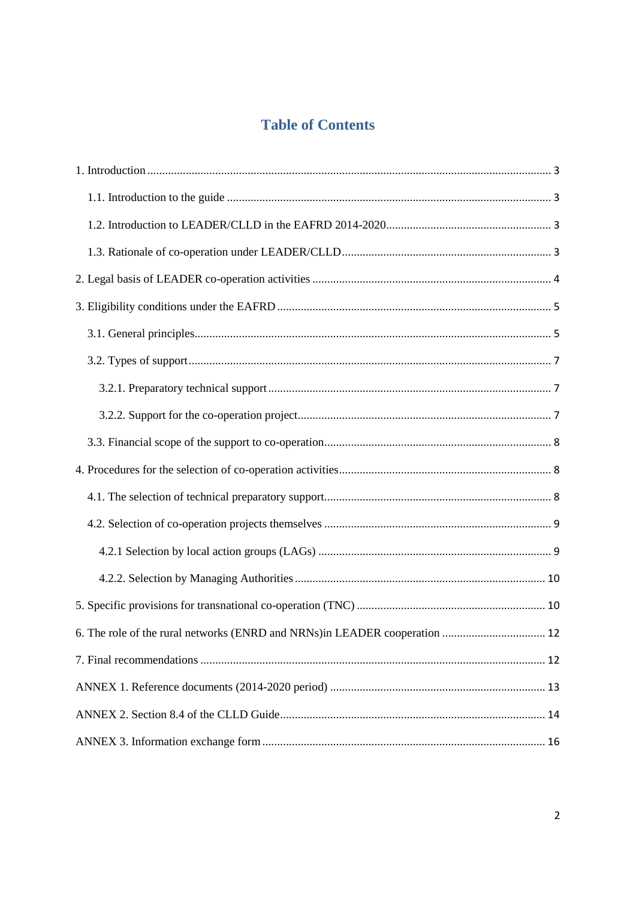# **Table of Contents**

| 6. The role of the rural networks (ENRD and NRNs) in LEADER cooperation  12 |
|-----------------------------------------------------------------------------|
|                                                                             |
|                                                                             |
|                                                                             |
|                                                                             |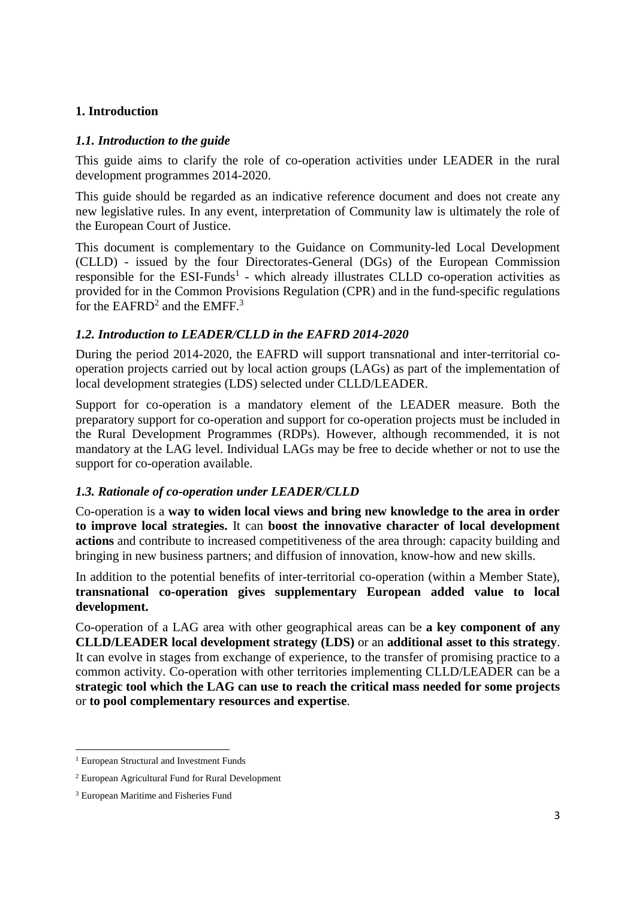#### <span id="page-2-0"></span>**1. Introduction**

#### <span id="page-2-1"></span>*1.1. Introduction to the guide*

This guide aims to clarify the role of co-operation activities under LEADER in the rural development programmes 2014-2020.

This guide should be regarded as an indicative reference document and does not create any new legislative rules. In any event, interpretation of Community law is ultimately the role of the European Court of Justice.

This document is complementary to the Guidance on Community-led Local Development (CLLD) - issued by the four Directorates-General (DGs) of the European Commission responsible for the  $ESI$ -Funds<sup>1</sup> - which already illustrates CLLD co-operation activities as provided for in the Common Provisions Regulation (CPR) and in the fund-specific regulations for the  $EAFRD<sup>2</sup>$  and the  $EMFF.<sup>3</sup>$ 

#### <span id="page-2-2"></span>*1.2. Introduction to LEADER/CLLD in the EAFRD 2014-2020*

During the period 2014-2020, the EAFRD will support transnational and inter-territorial cooperation projects carried out by local action groups (LAGs) as part of the implementation of local development strategies (LDS) selected under CLLD/LEADER.

Support for co-operation is a mandatory element of the LEADER measure. Both the preparatory support for co-operation and support for co-operation projects must be included in the Rural Development Programmes (RDPs). However, although recommended, it is not mandatory at the LAG level. Individual LAGs may be free to decide whether or not to use the support for co-operation available.

#### <span id="page-2-3"></span>*1.3. Rationale of co-operation under LEADER/CLLD*

Co-operation is a **way to widen local views and bring new knowledge to the area in order to improve local strategies.** It can **boost the innovative character of local development actions** and contribute to increased competitiveness of the area through: capacity building and bringing in new business partners; and diffusion of innovation, know-how and new skills.

In addition to the potential benefits of inter-territorial co-operation (within a Member State), **transnational co-operation gives supplementary European added value to local development.**

Co-operation of a LAG area with other geographical areas can be **a key component of any CLLD/LEADER local development strategy (LDS)** or an **additional asset to this strategy**. It can evolve in stages from exchange of experience, to the transfer of promising practice to a common activity. Co-operation with other territories implementing CLLD/LEADER can be a **strategic tool which the LAG can use to reach the critical mass needed for some projects** or **to pool complementary resources and expertise**.

<sup>1</sup> <sup>1</sup> European Structural and Investment Funds

<sup>2</sup> European Agricultural Fund for Rural Development

<sup>3</sup> European Maritime and Fisheries Fund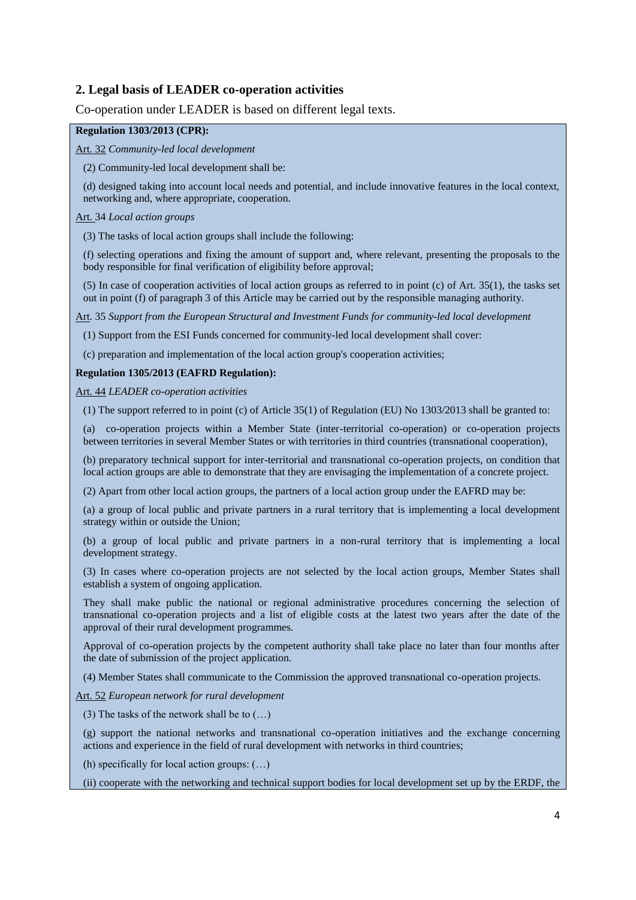#### <span id="page-3-0"></span>**2. Legal basis of LEADER co-operation activities**

Co-operation under LEADER is based on different legal texts.

#### **Regulation 1303/2013 (CPR):**

Art. 32 *Community-led local development*

(2) Community-led local development shall be:

(d) designed taking into account local needs and potential, and include innovative features in the local context, networking and, where appropriate, cooperation.

Art. 34 *Local action groups*

(3) The tasks of local action groups shall include the following:

(f) selecting operations and fixing the amount of support and, where relevant, presenting the proposals to the body responsible for final verification of eligibility before approval;

(5) In case of cooperation activities of local action groups as referred to in point (c) of Art. 35(1), the tasks set out in point (f) of paragraph 3 of this Article may be carried out by the responsible managing authority.

Art. 35 *Support from the European Structural and Investment Funds for community-led local development*

(1) Support from the ESI Funds concerned for community-led local development shall cover:

(c) preparation and implementation of the local action group's cooperation activities;

#### **Regulation 1305/2013 (EAFRD Regulation):**

Art. 44 *LEADER co-operation activities*

(1) The support referred to in point (c) of Article 35(1) of Regulation (EU) No 1303/2013 shall be granted to:

(a) co-operation projects within a Member State (inter-territorial co-operation) or co-operation projects between territories in several Member States or with territories in third countries (transnational cooperation),

(b) preparatory technical support for inter-territorial and transnational co-operation projects, on condition that local action groups are able to demonstrate that they are envisaging the implementation of a concrete project.

(2) Apart from other local action groups, the partners of a local action group under the EAFRD may be:

(a) a group of local public and private partners in a rural territory that is implementing a local development strategy within or outside the Union;

(b) a group of local public and private partners in a non-rural territory that is implementing a local development strategy.

(3) In cases where co-operation projects are not selected by the local action groups, Member States shall establish a system of ongoing application.

They shall make public the national or regional administrative procedures concerning the selection of transnational co-operation projects and a list of eligible costs at the latest two years after the date of the approval of their rural development programmes.

Approval of co-operation projects by the competent authority shall take place no later than four months after the date of submission of the project application.

(4) Member States shall communicate to the Commission the approved transnational co-operation projects.

Art. 52 *European network for rural development*

(3) The tasks of the network shall be to (…)

(g) support the national networks and transnational co-operation initiatives and the exchange concerning actions and experience in the field of rural development with networks in third countries;

(h) specifically for local action groups: (…)

(ii) cooperate with the networking and technical support bodies for local development set up by the ERDF, the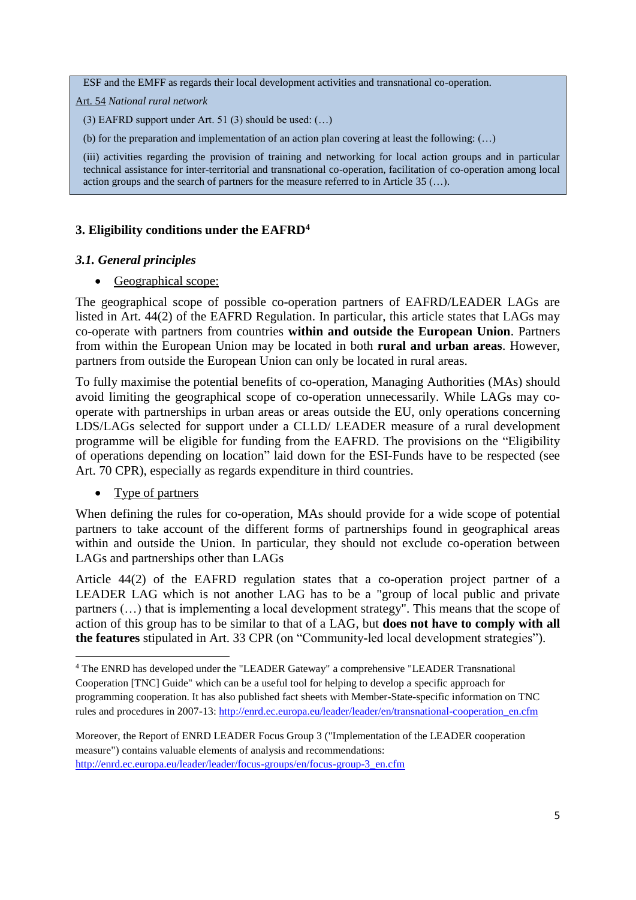ESF and the EMFF as regards their local development activities and transnational co-operation.

Art. 54 *National rural network*

(3) EAFRD support under Art. 51 (3) should be used: (…)

(b) for the preparation and implementation of an action plan covering at least the following: (…)

(iii) activities regarding the provision of training and networking for local action groups and in particular technical assistance for inter-territorial and transnational co-operation, facilitation of co-operation among local action groups and the search of partners for the measure referred to in Article 35 (…).

#### <span id="page-4-0"></span>**3. Eligibility conditions under the EAFRD<sup>4</sup>**

#### <span id="page-4-1"></span>*3.1. General principles*

• Geographical scope:

The geographical scope of possible co-operation partners of EAFRD/LEADER LAGs are listed in Art. 44(2) of the EAFRD Regulation. In particular, this article states that LAGs may co-operate with partners from countries **within and outside the European Union**. Partners from within the European Union may be located in both **rural and urban areas**. However, partners from outside the European Union can only be located in rural areas.

To fully maximise the potential benefits of co-operation, Managing Authorities (MAs) should avoid limiting the geographical scope of co-operation unnecessarily. While LAGs may cooperate with partnerships in urban areas or areas outside the EU, only operations concerning LDS/LAGs selected for support under a CLLD/ LEADER measure of a rural development programme will be eligible for funding from the EAFRD. The provisions on the "Eligibility of operations depending on location" laid down for the ESI-Funds have to be respected (see Art. 70 CPR), especially as regards expenditure in third countries.

#### • Type of partners

**.** 

When defining the rules for co-operation, MAs should provide for a wide scope of potential partners to take account of the different forms of partnerships found in geographical areas within and outside the Union. In particular, they should not exclude co-operation between LAGs and partnerships other than LAGs

Article 44(2) of the EAFRD regulation states that a co-operation project partner of a LEADER LAG which is not another LAG has to be a "group of local public and private partners (…) that is implementing a local development strategy". This means that the scope of action of this group has to be similar to that of a LAG, but **does not have to comply with all the features** stipulated in Art. 33 CPR (on "Community-led local development strategies").

Moreover, the Report of ENRD LEADER Focus Group 3 ("Implementation of the LEADER cooperation measure") contains valuable elements of analysis and recommendations: [http://enrd.ec.europa.eu/leader/leader/focus-groups/en/focus-group-3\\_en.cfm](http://enrd.ec.europa.eu/leader/leader/focus-groups/en/focus-group-3_en.cfm)

<sup>4</sup> The ENRD has developed under the "LEADER Gateway" a comprehensive "LEADER Transnational Cooperation [TNC] Guide" which can be a useful tool for helping to develop a specific approach for programming cooperation. It has also published fact sheets with Member-State-specific information on TNC rules and procedures in 2007-13: [http://enrd.ec.europa.eu/leader/leader/en/transnational-cooperation\\_en.cfm](http://enrd.ec.europa.eu/leader/leader/en/transnational-cooperation_en.cfm)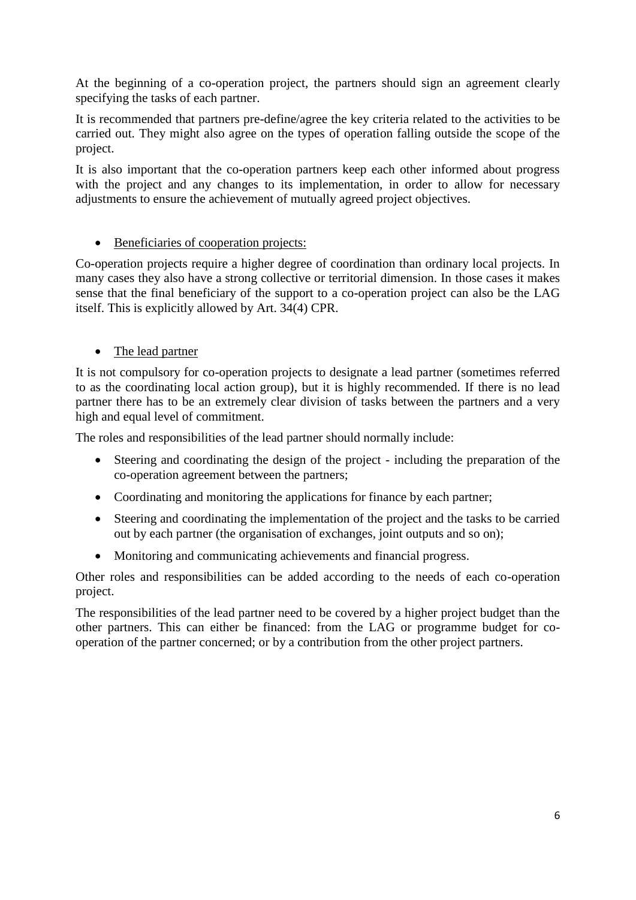At the beginning of a co-operation project, the partners should sign an agreement clearly specifying the tasks of each partner.

It is recommended that partners pre-define/agree the key criteria related to the activities to be carried out. They might also agree on the types of operation falling outside the scope of the project.

It is also important that the co-operation partners keep each other informed about progress with the project and any changes to its implementation, in order to allow for necessary adjustments to ensure the achievement of mutually agreed project objectives.

### • Beneficiaries of cooperation projects:

Co-operation projects require a higher degree of coordination than ordinary local projects. In many cases they also have a strong collective or territorial dimension. In those cases it makes sense that the final beneficiary of the support to a co-operation project can also be the LAG itself. This is explicitly allowed by Art. 34(4) CPR.

• The lead partner

It is not compulsory for co-operation projects to designate a lead partner (sometimes referred to as the coordinating local action group), but it is highly recommended. If there is no lead partner there has to be an extremely clear division of tasks between the partners and a very high and equal level of commitment.

The roles and responsibilities of the lead partner should normally include:

- Steering and coordinating the design of the project including the preparation of the co-operation agreement between the partners;
- Coordinating and monitoring the applications for finance by each partner;
- Steering and coordinating the implementation of the project and the tasks to be carried out by each partner (the organisation of exchanges, joint outputs and so on);
- Monitoring and communicating achievements and financial progress.

Other roles and responsibilities can be added according to the needs of each co-operation project.

The responsibilities of the lead partner need to be covered by a higher project budget than the other partners. This can either be financed: from the LAG or programme budget for cooperation of the partner concerned; or by a contribution from the other project partners.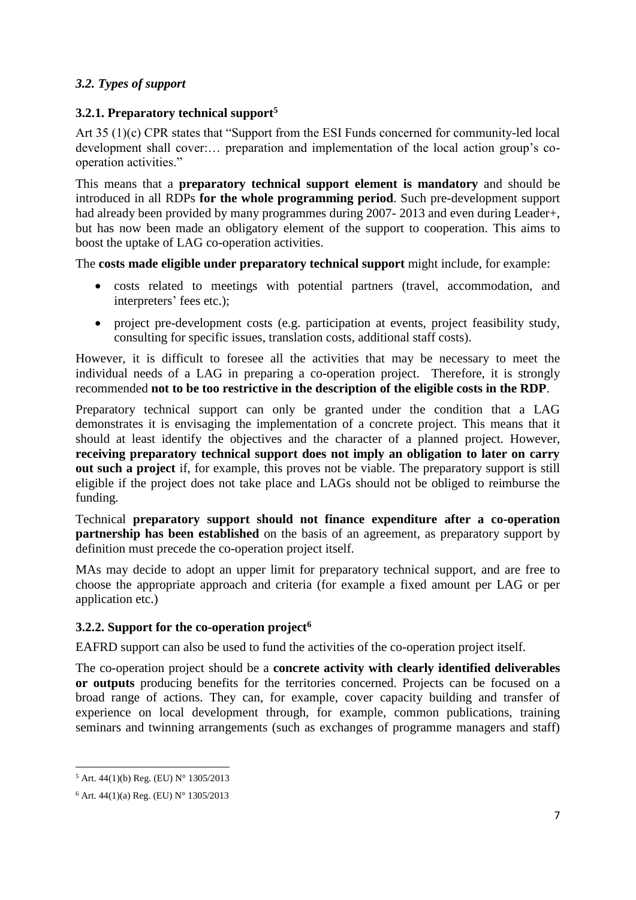### <span id="page-6-0"></span>*3.2. Types of support*

### <span id="page-6-1"></span>**3.2.1. Preparatory technical support<sup>5</sup>**

Art 35 (1)(c) CPR states that "Support from the ESI Funds concerned for community-led local development shall cover:… preparation and implementation of the local action group's cooperation activities."

This means that a **preparatory technical support element is mandatory** and should be introduced in all RDPs **for the whole programming period**. Such pre-development support had already been provided by many programmes during 2007-2013 and even during Leader+, but has now been made an obligatory element of the support to cooperation. This aims to boost the uptake of LAG co-operation activities.

The **costs made eligible under preparatory technical support** might include, for example:

- costs related to meetings with potential partners (travel, accommodation, and interpreters' fees etc.);
- project pre-development costs (e.g. participation at events, project feasibility study, consulting for specific issues, translation costs, additional staff costs).

However, it is difficult to foresee all the activities that may be necessary to meet the individual needs of a LAG in preparing a co-operation project. Therefore, it is strongly recommended **not to be too restrictive in the description of the eligible costs in the RDP**.

Preparatory technical support can only be granted under the condition that a LAG demonstrates it is envisaging the implementation of a concrete project. This means that it should at least identify the objectives and the character of a planned project. However, **receiving preparatory technical support does not imply an obligation to later on carry out such a project** if, for example, this proves not be viable. The preparatory support is still eligible if the project does not take place and LAGs should not be obliged to reimburse the funding.

Technical **preparatory support should not finance expenditure after a co-operation partnership has been established** on the basis of an agreement, as preparatory support by definition must precede the co-operation project itself.

MAs may decide to adopt an upper limit for preparatory technical support, and are free to choose the appropriate approach and criteria (for example a fixed amount per LAG or per application etc.)

#### <span id="page-6-2"></span>**3.2.2. Support for the co-operation project<sup>6</sup>**

EAFRD support can also be used to fund the activities of the co-operation project itself.

The co-operation project should be a **concrete activity with clearly identified deliverables or outputs** producing benefits for the territories concerned. Projects can be focused on a broad range of actions. They can, for example, cover capacity building and transfer of experience on local development through, for example, common publications, training seminars and twinning arrangements (such as exchanges of programme managers and staff)

**.** 

 $5$  Art. 44(1)(b) Reg. (EU) N° 1305/2013

 $6$  Art. 44(1)(a) Reg. (EU) N° 1305/2013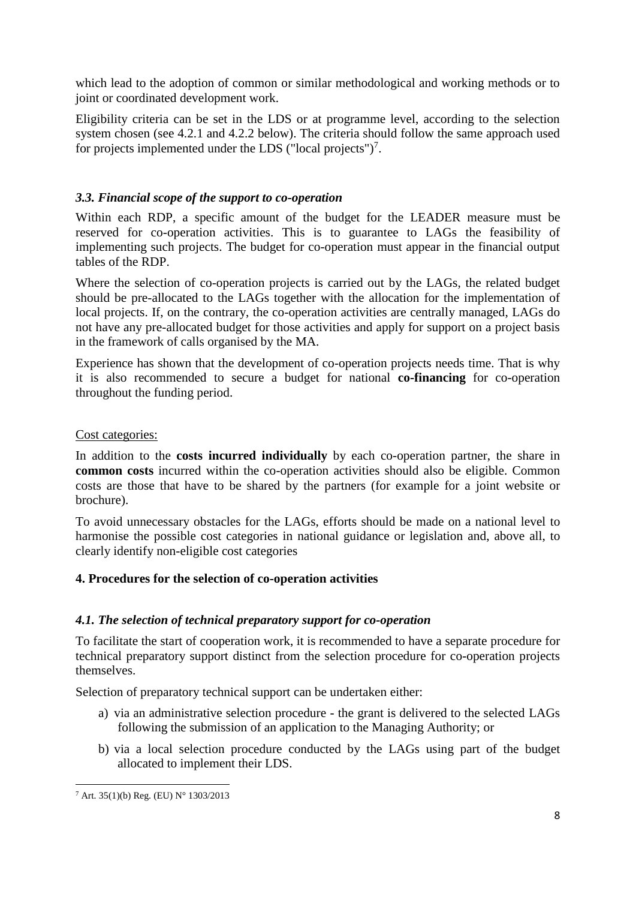which lead to the adoption of common or similar methodological and working methods or to joint or coordinated development work.

Eligibility criteria can be set in the LDS or at programme level, according to the selection system chosen (see 4.2.1 and 4.2.2 below). The criteria should follow the same approach used for projects implemented under the LDS ("local projects")<sup>7</sup>.

### <span id="page-7-0"></span>*3.3. Financial scope of the support to co-operation*

Within each RDP, a specific amount of the budget for the LEADER measure must be reserved for co-operation activities. This is to guarantee to LAGs the feasibility of implementing such projects. The budget for co-operation must appear in the financial output tables of the RDP.

Where the selection of co-operation projects is carried out by the LAGs, the related budget should be pre-allocated to the LAGs together with the allocation for the implementation of local projects. If, on the contrary, the co-operation activities are centrally managed, LAGs do not have any pre-allocated budget for those activities and apply for support on a project basis in the framework of calls organised by the MA.

Experience has shown that the development of co-operation projects needs time. That is why it is also recommended to secure a budget for national **co-financing** for co-operation throughout the funding period.

#### Cost categories:

In addition to the **costs incurred individually** by each co-operation partner, the share in **common costs** incurred within the co-operation activities should also be eligible. Common costs are those that have to be shared by the partners (for example for a joint website or brochure).

To avoid unnecessary obstacles for the LAGs, efforts should be made on a national level to harmonise the possible cost categories in national guidance or legislation and, above all, to clearly identify non-eligible cost categories

#### <span id="page-7-1"></span>**4. Procedures for the selection of co-operation activities**

#### <span id="page-7-2"></span>*4.1. The selection of technical preparatory support for co-operation*

To facilitate the start of cooperation work, it is recommended to have a separate procedure for technical preparatory support distinct from the selection procedure for co-operation projects themselves.

Selection of preparatory technical support can be undertaken either:

- a) via an administrative selection procedure the grant is delivered to the selected LAGs following the submission of an application to the Managing Authority; or
- b) via a local selection procedure conducted by the LAGs using part of the budget allocated to implement their LDS.

**<sup>.</sup>** <sup>7</sup> Art. 35(1)(b) Reg. (EU) N° 1303/2013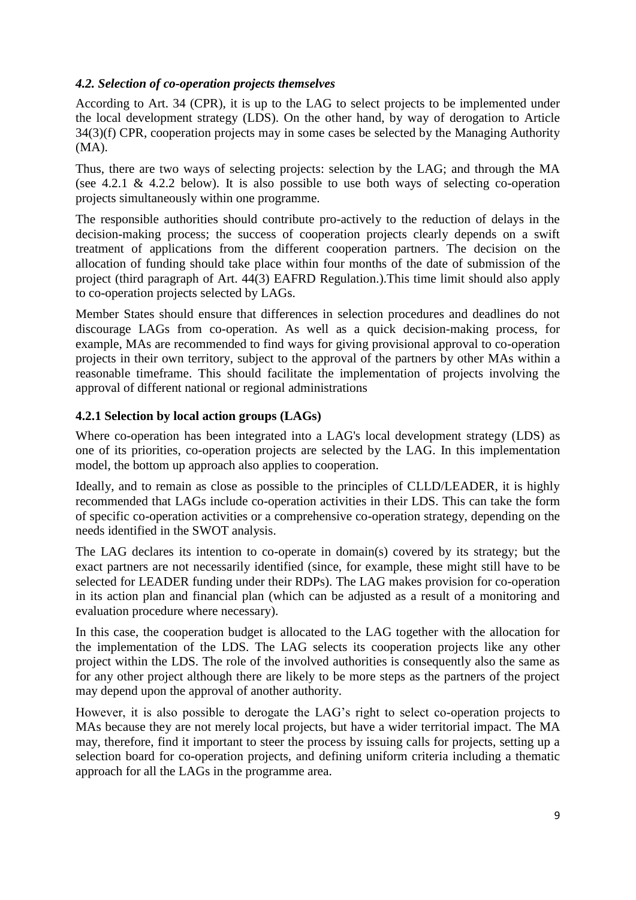#### <span id="page-8-0"></span>*4.2. Selection of co-operation projects themselves*

According to Art. 34 (CPR), it is up to the LAG to select projects to be implemented under the local development strategy (LDS). On the other hand, by way of derogation to Article 34(3)(f) CPR, cooperation projects may in some cases be selected by the Managing Authority (MA).

Thus, there are two ways of selecting projects: selection by the LAG; and through the MA (see 4.2.1 & 4.2.2 below). It is also possible to use both ways of selecting co-operation projects simultaneously within one programme.

The responsible authorities should contribute pro-actively to the reduction of delays in the decision-making process; the success of cooperation projects clearly depends on a swift treatment of applications from the different cooperation partners. The decision on the allocation of funding should take place within four months of the date of submission of the project (third paragraph of Art. 44(3) EAFRD Regulation.).This time limit should also apply to co-operation projects selected by LAGs.

Member States should ensure that differences in selection procedures and deadlines do not discourage LAGs from co-operation. As well as a quick decision-making process, for example, MAs are recommended to find ways for giving provisional approval to co-operation projects in their own territory, subject to the approval of the partners by other MAs within a reasonable timeframe. This should facilitate the implementation of projects involving the approval of different national or regional administrations

#### <span id="page-8-1"></span>**4.2.1 Selection by local action groups (LAGs)**

Where co-operation has been integrated into a LAG's local development strategy (LDS) as one of its priorities, co-operation projects are selected by the LAG. In this implementation model, the bottom up approach also applies to cooperation.

Ideally, and to remain as close as possible to the principles of CLLD/LEADER, it is highly recommended that LAGs include co-operation activities in their LDS. This can take the form of specific co-operation activities or a comprehensive co-operation strategy, depending on the needs identified in the SWOT analysis.

The LAG declares its intention to co-operate in domain(s) covered by its strategy; but the exact partners are not necessarily identified (since, for example, these might still have to be selected for LEADER funding under their RDPs). The LAG makes provision for co-operation in its action plan and financial plan (which can be adjusted as a result of a monitoring and evaluation procedure where necessary).

In this case, the cooperation budget is allocated to the LAG together with the allocation for the implementation of the LDS. The LAG selects its cooperation projects like any other project within the LDS. The role of the involved authorities is consequently also the same as for any other project although there are likely to be more steps as the partners of the project may depend upon the approval of another authority.

However, it is also possible to derogate the LAG's right to select co-operation projects to MAs because they are not merely local projects, but have a wider territorial impact. The MA may, therefore, find it important to steer the process by issuing calls for projects, setting up a selection board for co-operation projects, and defining uniform criteria including a thematic approach for all the LAGs in the programme area.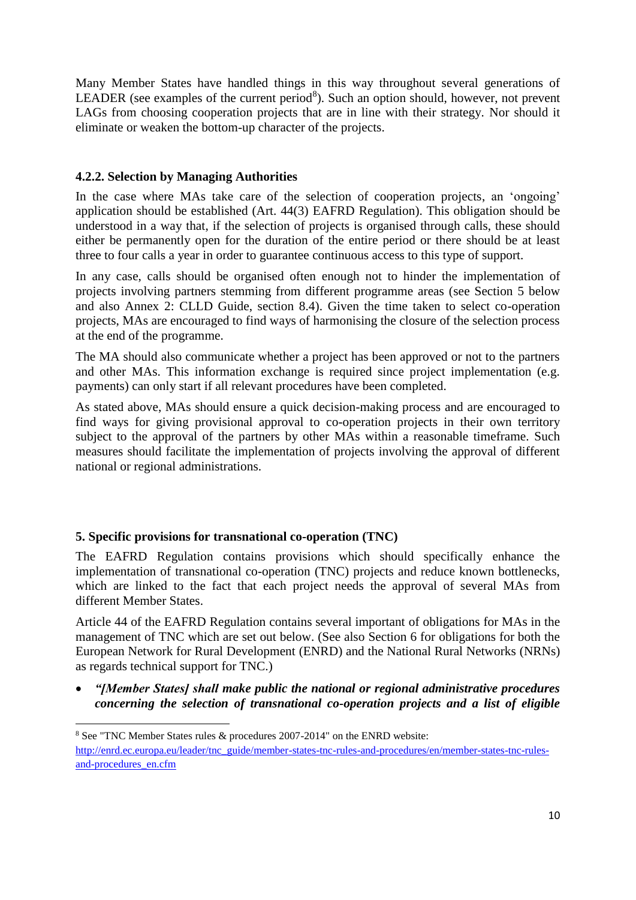Many Member States have handled things in this way throughout several generations of LEADER (see examples of the current period<sup>8</sup>). Such an option should, however, not prevent LAGs from choosing cooperation projects that are in line with their strategy. Nor should it eliminate or weaken the bottom-up character of the projects.

### <span id="page-9-0"></span>**4.2.2. Selection by Managing Authorities**

In the case where MAs take care of the selection of cooperation projects, an 'ongoing' application should be established (Art. 44(3) EAFRD Regulation). This obligation should be understood in a way that, if the selection of projects is organised through calls, these should either be permanently open for the duration of the entire period or there should be at least three to four calls a year in order to guarantee continuous access to this type of support.

In any case, calls should be organised often enough not to hinder the implementation of projects involving partners stemming from different programme areas (see Section 5 below and also Annex 2: CLLD Guide, section 8.4). Given the time taken to select co-operation projects, MAs are encouraged to find ways of harmonising the closure of the selection process at the end of the programme.

The MA should also communicate whether a project has been approved or not to the partners and other MAs. This information exchange is required since project implementation (e.g. payments) can only start if all relevant procedures have been completed.

As stated above, MAs should ensure a quick decision-making process and are encouraged to find ways for giving provisional approval to co-operation projects in their own territory subject to the approval of the partners by other MAs within a reasonable timeframe. Such measures should facilitate the implementation of projects involving the approval of different national or regional administrations.

#### <span id="page-9-1"></span>**5. Specific provisions for transnational co-operation (TNC)**

**.** 

The EAFRD Regulation contains provisions which should specifically enhance the implementation of transnational co-operation (TNC) projects and reduce known bottlenecks, which are linked to the fact that each project needs the approval of several MAs from different Member States.

Article 44 of the EAFRD Regulation contains several important of obligations for MAs in the management of TNC which are set out below. (See also Section 6 for obligations for both the European Network for Rural Development (ENRD) and the National Rural Networks (NRNs) as regards technical support for TNC.)

 *"[Member States] shall make public the national or regional administrative procedures concerning the selection of transnational co-operation projects and a list of eligible* 

<sup>8</sup> See "TNC Member States rules & procedures 2007-2014" on the ENRD website: [http://enrd.ec.europa.eu/leader/tnc\\_guide/member-states-tnc-rules-and-procedures/en/member-states-tnc-rules](http://enrd.ec.europa.eu/leader/tnc_guide/member-states-tnc-rules-and-procedures/en/member-states-tnc-rules-and-procedures_en.cfm)[and-procedures\\_en.cfm](http://enrd.ec.europa.eu/leader/tnc_guide/member-states-tnc-rules-and-procedures/en/member-states-tnc-rules-and-procedures_en.cfm)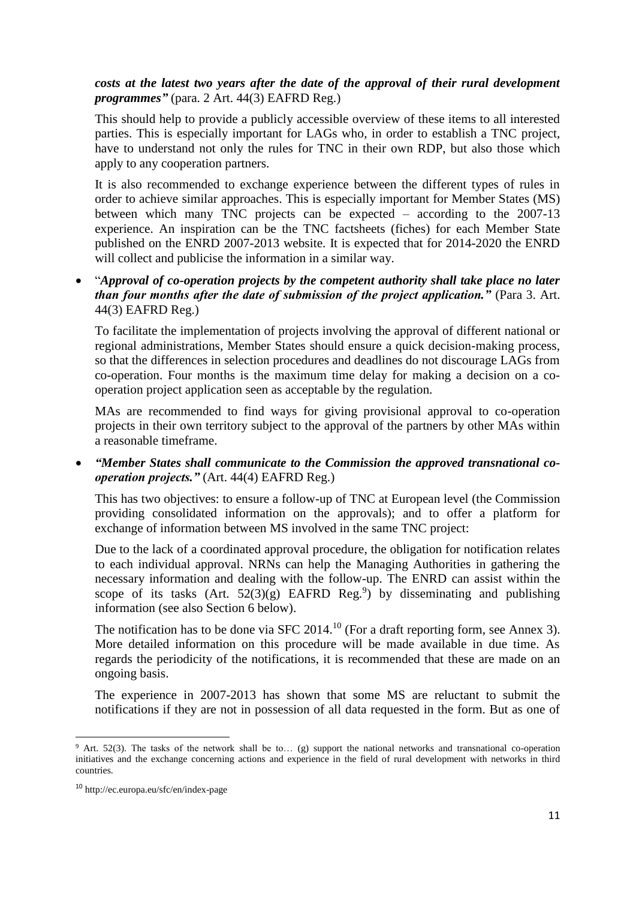#### *costs at the latest two years after the date of the approval of their rural development programmes"* (para. 2 Art. 44(3) EAFRD Reg.)

This should help to provide a publicly accessible overview of these items to all interested parties. This is especially important for LAGs who, in order to establish a TNC project, have to understand not only the rules for TNC in their own RDP, but also those which apply to any cooperation partners.

It is also recommended to exchange experience between the different types of rules in order to achieve similar approaches. This is especially important for Member States (MS) between which many TNC projects can be expected – according to the 2007-13 experience. An inspiration can be the TNC factsheets (fiches) for each Member State published on the ENRD 2007-2013 website. It is expected that for 2014-2020 the ENRD will collect and publicise the information in a similar way.

 "*Approval of co-operation projects by the competent authority shall take place no later than four months after the date of submission of the project application."* (Para 3. Art. 44(3) EAFRD Reg.)

To facilitate the implementation of projects involving the approval of different national or regional administrations, Member States should ensure a quick decision-making process, so that the differences in selection procedures and deadlines do not discourage LAGs from co-operation. Four months is the maximum time delay for making a decision on a cooperation project application seen as acceptable by the regulation.

MAs are recommended to find ways for giving provisional approval to co-operation projects in their own territory subject to the approval of the partners by other MAs within a reasonable timeframe.

 *"Member States shall communicate to the Commission the approved transnational cooperation projects."* (Art. 44(4) EAFRD Reg.)

This has two objectives: to ensure a follow-up of TNC at European level (the Commission providing consolidated information on the approvals); and to offer a platform for exchange of information between MS involved in the same TNC project:

Due to the lack of a coordinated approval procedure, the obligation for notification relates to each individual approval. NRNs can help the Managing Authorities in gathering the necessary information and dealing with the follow-up. The ENRD can assist within the scope of its tasks (Art.  $52(3)(g)$  EAFRD Reg.<sup>9</sup>) by disseminating and publishing information (see also Section 6 below).

The notification has to be done via SFC 2014.<sup>10</sup> (For a draft reporting form, see Annex 3). More detailed information on this procedure will be made available in due time. As regards the periodicity of the notifications, it is recommended that these are made on an ongoing basis.

The experience in 2007-2013 has shown that some MS are reluctant to submit the notifications if they are not in possession of all data requested in the form. But as one of

**<sup>.</sup>** <sup>9</sup> Art. 52(3). The tasks of the network shall be to... (g) support the national networks and transnational co-operation initiatives and the exchange concerning actions and experience in the field of rural development with networks in third countries.

<sup>10</sup> http://ec.europa.eu/sfc/en/index-page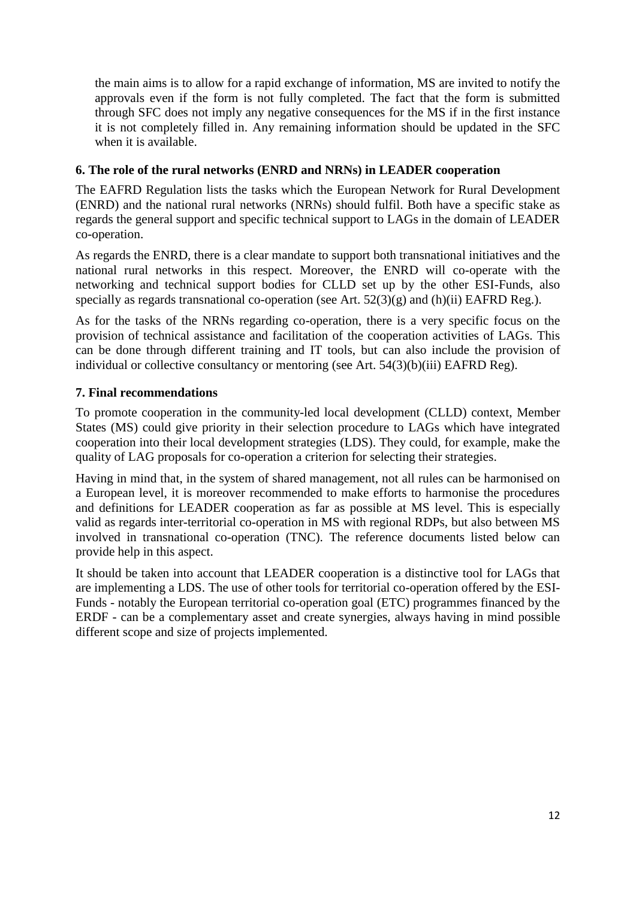the main aims is to allow for a rapid exchange of information, MS are invited to notify the approvals even if the form is not fully completed. The fact that the form is submitted through SFC does not imply any negative consequences for the MS if in the first instance it is not completely filled in. Any remaining information should be updated in the SFC when it is available.

### <span id="page-11-0"></span>**6. The role of the rural networks (ENRD and NRNs) in LEADER cooperation**

The EAFRD Regulation lists the tasks which the European Network for Rural Development (ENRD) and the national rural networks (NRNs) should fulfil. Both have a specific stake as regards the general support and specific technical support to LAGs in the domain of LEADER co-operation.

As regards the ENRD, there is a clear mandate to support both transnational initiatives and the national rural networks in this respect. Moreover, the ENRD will co-operate with the networking and technical support bodies for CLLD set up by the other ESI-Funds, also specially as regards transnational co-operation (see Art.  $52(3)(g)$  and (h)(ii) EAFRD Reg.).

As for the tasks of the NRNs regarding co-operation, there is a very specific focus on the provision of technical assistance and facilitation of the cooperation activities of LAGs. This can be done through different training and IT tools, but can also include the provision of individual or collective consultancy or mentoring (see Art. 54(3)(b)(iii) EAFRD Reg).

### <span id="page-11-1"></span>**7. Final recommendations**

To promote cooperation in the community-led local development (CLLD) context, Member States (MS) could give priority in their selection procedure to LAGs which have integrated cooperation into their local development strategies (LDS). They could, for example, make the quality of LAG proposals for co-operation a criterion for selecting their strategies.

Having in mind that, in the system of shared management, not all rules can be harmonised on a European level, it is moreover recommended to make efforts to harmonise the procedures and definitions for LEADER cooperation as far as possible at MS level. This is especially valid as regards inter-territorial co-operation in MS with regional RDPs, but also between MS involved in transnational co-operation (TNC). The reference documents listed below can provide help in this aspect.

It should be taken into account that LEADER cooperation is a distinctive tool for LAGs that are implementing a LDS. The use of other tools for territorial co-operation offered by the ESI-Funds - notably the European territorial co-operation goal (ETC) programmes financed by the ERDF - can be a complementary asset and create synergies, always having in mind possible different scope and size of projects implemented.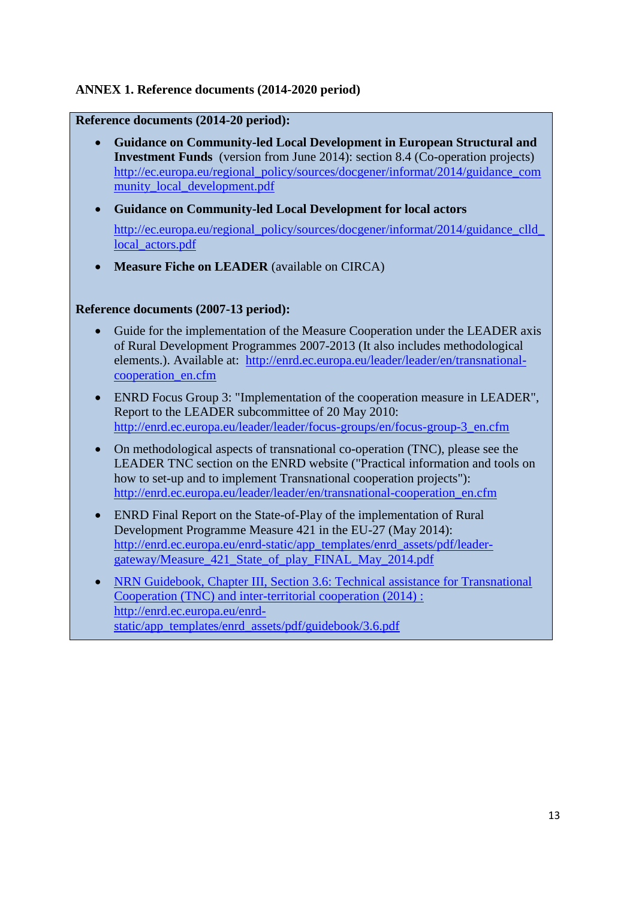### <span id="page-12-0"></span>**ANNEX 1. Reference documents (2014-2020 period)**

#### **Reference documents (2014-20 period):**

- **Guidance on Community-led Local Development in European Structural and Investment Funds** (version from June 2014): section 8.4 (Co-operation projects) [http://ec.europa.eu/regional\\_policy/sources/docgener/informat/2014/guidance\\_com](http://ec.europa.eu/regional_policy/sources/docgener/informat/2014/guidance_community_local_development.pdf) munity local development.pdf
- **Guidance on Community-led Local Development for local actors**  http://ec.europa.eu/regional\_policy/sources/docgener/informat/2014/guidance\_clld local actors.pdf
- **Measure Fiche on LEADER** (available on CIRCA)

#### **Reference documents (2007-13 period):**

- Guide for the implementation of the Measure Cooperation under the LEADER axis of Rural Development Programmes 2007-2013 (It also includes methodological elements.). Available at: [http://enrd.ec.europa.eu/leader/leader/en/transnational](http://enrd.ec.europa.eu/leader/leader/en/transnational-cooperation_en.cfm)[cooperation\\_en.cfm](http://enrd.ec.europa.eu/leader/leader/en/transnational-cooperation_en.cfm)
- ENRD Focus Group 3: "Implementation of the cooperation measure in LEADER", Report to the LEADER subcommittee of 20 May 2010: [http://enrd.ec.europa.eu/leader/leader/focus-groups/en/focus-group-3\\_en.cfm](http://enrd.ec.europa.eu/leader/leader/focus-groups/en/focus-group-3_en.cfm)
- On methodological aspects of transnational co-operation (TNC), please see the LEADER TNC section on the ENRD website ("Practical information and tools on how to set-up and to implement Transnational cooperation projects"): [http://enrd.ec.europa.eu/leader/leader/en/transnational-cooperation\\_en.cfm](http://enrd.ec.europa.eu/leader/leader/en/transnational-cooperation_en.cfm)
- ENRD Final Report on the State-of-Play of the implementation of Rural Development Programme Measure 421 in the EU-27 (May 2014): [http://enrd.ec.europa.eu/enrd-static/app\\_templates/enrd\\_assets/pdf/leader](http://enrd.ec.europa.eu/enrd-static/app_templates/enrd_assets/pdf/leader-gateway/Measure_421_State_of_play_FINAL_May_2014.pdf)[gateway/Measure\\_421\\_State\\_of\\_play\\_FINAL\\_May\\_2014.pdf](http://enrd.ec.europa.eu/enrd-static/app_templates/enrd_assets/pdf/leader-gateway/Measure_421_State_of_play_FINAL_May_2014.pdf)
- NRN Guidebook, Chapter III, Section 3.6: Technical assistance for Transnational Cooperation (TNC) and inter-territorial cooperation (2014) : [http://enrd.ec.europa.eu/enrd](http://enrd.ec.europa.eu/enrd-static/app_templates/enrd_assets/pdf/guidebook/3.6.pdf)[static/app\\_templates/enrd\\_assets/pdf/guidebook/3.6.pdf](http://enrd.ec.europa.eu/enrd-static/app_templates/enrd_assets/pdf/guidebook/3.6.pdf)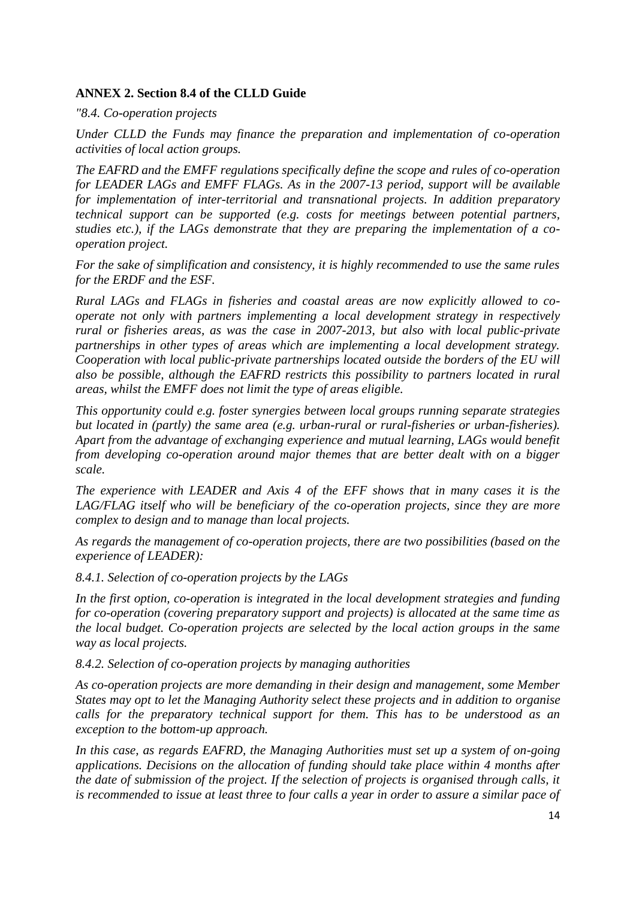### <span id="page-13-0"></span>**ANNEX 2. Section 8.4 of the CLLD Guide**

*"8.4. Co-operation projects*

*Under CLLD the Funds may finance the preparation and implementation of co-operation activities of local action groups.*

*The EAFRD and the EMFF regulations specifically define the scope and rules of co-operation for LEADER LAGs and EMFF FLAGs. As in the 2007-13 period, support will be available for implementation of inter-territorial and transnational projects. In addition preparatory technical support can be supported (e.g. costs for meetings between potential partners, studies etc.), if the LAGs demonstrate that they are preparing the implementation of a cooperation project.*

*For the sake of simplification and consistency, it is highly recommended to use the same rules for the ERDF and the ESF.*

*Rural LAGs and FLAGs in fisheries and coastal areas are now explicitly allowed to cooperate not only with partners implementing a local development strategy in respectively rural or fisheries areas, as was the case in 2007-2013, but also with local public-private partnerships in other types of areas which are implementing a local development strategy. Cooperation with local public-private partnerships located outside the borders of the EU will also be possible, although the EAFRD restricts this possibility to partners located in rural areas, whilst the EMFF does not limit the type of areas eligible.* 

*This opportunity could e.g. foster synergies between local groups running separate strategies but located in (partly) the same area (e.g. urban-rural or rural-fisheries or urban-fisheries). Apart from the advantage of exchanging experience and mutual learning, LAGs would benefit from developing co-operation around major themes that are better dealt with on a bigger scale.* 

*The experience with LEADER and Axis 4 of the EFF shows that in many cases it is the LAG/FLAG itself who will be beneficiary of the co-operation projects, since they are more complex to design and to manage than local projects.*

*As regards the management of co-operation projects, there are two possibilities (based on the experience of LEADER):*

*8.4.1. Selection of co-operation projects by the LAGs*

*In the first option, co-operation is integrated in the local development strategies and funding for co-operation (covering preparatory support and projects) is allocated at the same time as the local budget. Co-operation projects are selected by the local action groups in the same way as local projects.* 

*8.4.2. Selection of co-operation projects by managing authorities*

*As co-operation projects are more demanding in their design and management, some Member States may opt to let the Managing Authority select these projects and in addition to organise calls for the preparatory technical support for them. This has to be understood as an exception to the bottom-up approach.*

*In this case, as regards EAFRD, the Managing Authorities must set up a system of on-going applications. Decisions on the allocation of funding should take place within 4 months after the date of submission of the project. If the selection of projects is organised through calls, it is recommended to issue at least three to four calls a year in order to assure a similar pace of*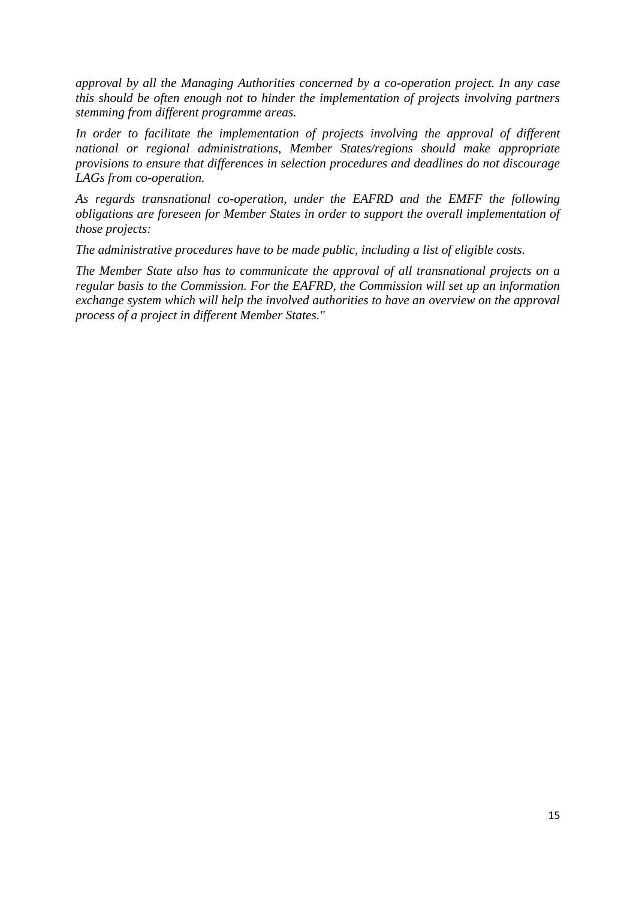*approval by all the Managing Authorities concerned by a co-operation project. In any case this should be often enough not to hinder the implementation of projects involving partners stemming from different programme areas.* 

*In order to facilitate the implementation of projects involving the approval of different national or regional administrations, Member States/regions should make appropriate provisions to ensure that differences in selection procedures and deadlines do not discourage LAGs from co-operation.*

*As regards transnational co-operation, under the EAFRD and the EMFF the following obligations are foreseen for Member States in order to support the overall implementation of those projects:*

*The administrative procedures have to be made public, including a list of eligible costs.*

*The Member State also has to communicate the approval of all transnational projects on a regular basis to the Commission. For the EAFRD, the Commission will set up an information exchange system which will help the involved authorities to have an overview on the approval process of a project in different Member States."*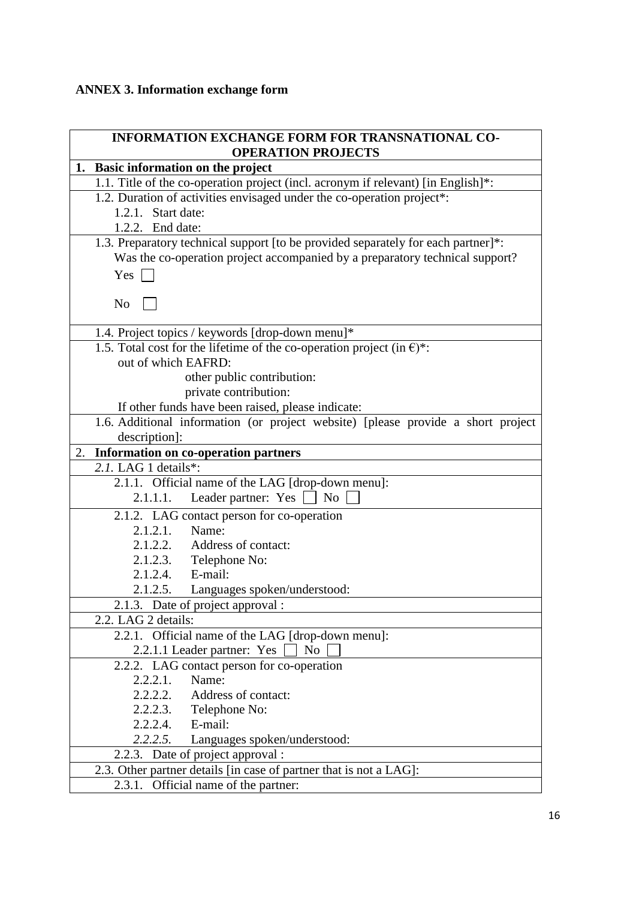## <span id="page-15-0"></span>**ANNEX 3. Information exchange form**

| <b>INFORMATION EXCHANGE FORM FOR TRANSNATIONAL CO-</b>                              |
|-------------------------------------------------------------------------------------|
| <b>OPERATION PROJECTS</b>                                                           |
| 1. Basic information on the project                                                 |
| 1.1. Title of the co-operation project (incl. acronym if relevant) [in English]*:   |
| 1.2. Duration of activities envisaged under the co-operation project <sup>*</sup> : |
| 1.2.1. Start date:                                                                  |
| 1.2.2. End date:                                                                    |
| 1.3. Preparatory technical support [to be provided separately for each partner]*:   |
| Was the co-operation project accompanied by a preparatory technical support?        |
| Yes                                                                                 |
| N <sub>o</sub>                                                                      |
| 1.4. Project topics / keywords [drop-down menu]*                                    |
| 1.5. Total cost for the lifetime of the co-operation project (in $\epsilon$ )*:     |
| out of which EAFRD:                                                                 |
| other public contribution:                                                          |
| private contribution:                                                               |
| If other funds have been raised, please indicate:                                   |
| 1.6. Additional information (or project website) [please provide a short project    |
| description]:                                                                       |
| Information on co-operation partners<br>2.                                          |
| 2.1. LAG 1 details*:                                                                |
| 2.1.1. Official name of the LAG [drop-down menu]:                                   |
| Leader partner: Yes<br>2.1.1.1.<br>N <sub>o</sub>                                   |
| 2.1.2. LAG contact person for co-operation                                          |
| 2.1.2.1. Name:                                                                      |
| 2.1.2.2. Address of contact:                                                        |
| $2.1.2.3.$ Telephone No:                                                            |
| 2.1.2.4. E-mail:                                                                    |
| 2.1.2.5. Languages spoken/understood:                                               |
| 2.1.3. Date of project approval :                                                   |
| 2.2. LAG 2 details:                                                                 |
| 2.2.1. Official name of the LAG [drop-down menu]:                                   |
| 2.2.1.1 Leader partner: Yes<br>N <sub>0</sub>                                       |
| 2.2.2. LAG contact person for co-operation                                          |
| 2.2.2.1.<br>Name:                                                                   |
| 2.2.2.2. Address of contact:                                                        |
| 2.2.2.3. Telephone No:                                                              |
| 2.2.2.4. E-mail:                                                                    |
| 2.2.2.5. Languages spoken/understood:                                               |
| 2.2.3. Date of project approval :                                                   |
| 2.3. Other partner details [in case of partner that is not a LAG]:                  |
| 2.3.1. Official name of the partner:                                                |